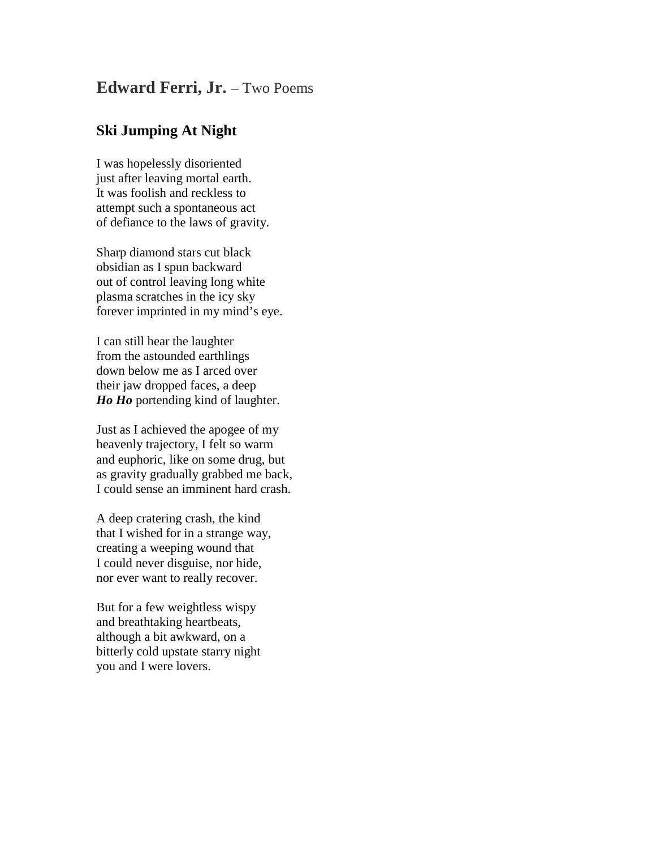## **Edward Ferri, Jr.** – Two Poems

## **Ski Jumping At Night**

I was hopelessly disoriented just after leaving mortal earth. It was foolish and reckless to attempt such a spontaneous act of defiance to the laws of gravity.

Sharp diamond stars cut black obsidian as I spun backward out of control leaving long white plasma scratches in the icy sky forever imprinted in my mind's eye.

I can still hear the laughter from the astounded earthlings down below me as I arced over their jaw dropped faces, a deep *Ho Ho* portending kind of laughter.

Just as I achieved the apogee of my heavenly trajectory, I felt so warm and euphoric, like on some drug, but as gravity gradually grabbed me back, I could sense an imminent hard crash.

A deep cratering crash, the kind that I wished for in a strange way, creating a weeping wound that I could never disguise, nor hide, nor ever want to really recover.

But for a few weightless wispy and breathtaking heartbeats, although a bit awkward, on a bitterly cold upstate starry night you and I were lovers.